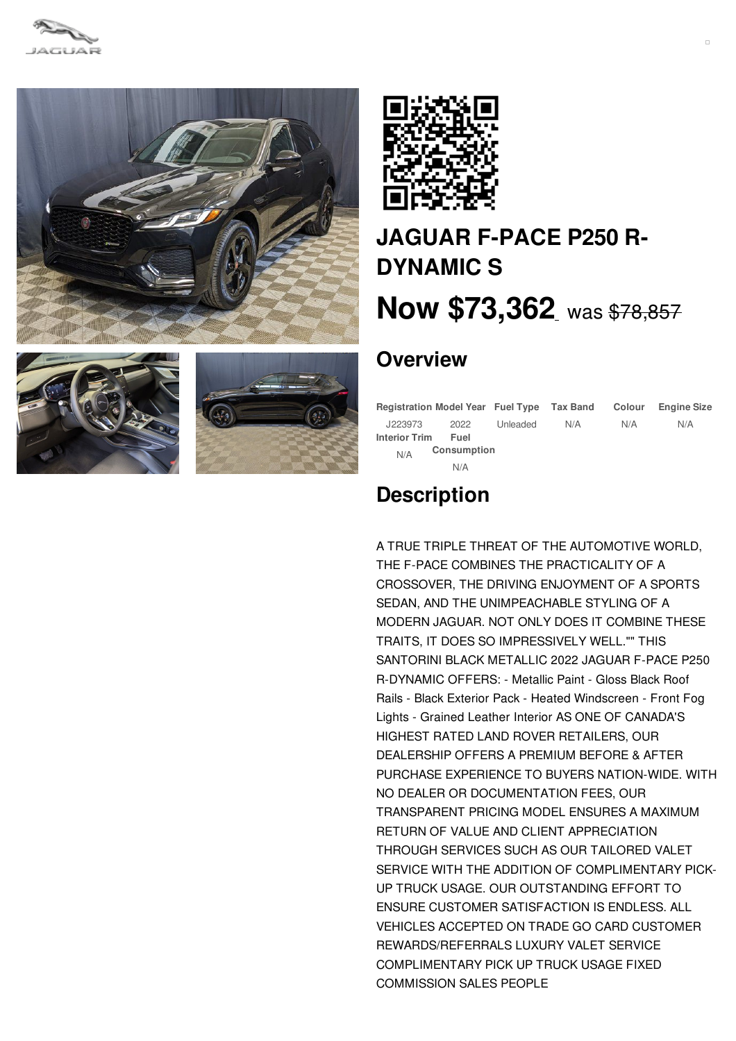









# **JAGUAR F-PACE P250 R-[DYNAMIC](/new/pdf/) S Now [\\$73,362](/new/pdf/)** was [\\$78,857](/new/pdf/)

## **Overview**

|                      | Registration Model Year Fuel Type Tax Band |          |     | Colour | <b>Engine Size</b> |
|----------------------|--------------------------------------------|----------|-----|--------|--------------------|
| J223973              | 2022                                       | Unleaded | N/A | N/A    | N/A                |
| <b>Interior Trim</b> | Fuel                                       |          |     |        |                    |
| N/A                  | Consumption                                |          |     |        |                    |
|                      | N/A                                        |          |     |        |                    |

## **Description**

A TRUE TRIPLE THREAT OF THE AUTOMOTIVE WORLD, THE F-PACE COMBINES THE PRACTICALITY OF A CROSSOVER, THE DRIVING ENJOYMENT OF A SPORTS SEDAN, AND THE UNIMPEACHABLE STYLING OF A MODERN JAGUAR. NOT ONLY DOES IT COMBINE THESE TRAITS, IT DOES SO IMPRESSIVELY WELL."" THIS SANTORINI BLACK METALLIC 2022 JAGUAR F-PACE P250 R-DYNAMIC OFFERS: - Metallic Paint - Gloss Black Roof Rails - Black Exterior Pack - Heated Windscreen - Front Fog Lights - Grained Leather Interior AS ONE OF CANADA'S HIGHEST RATED LAND ROVER RETAILERS, OUR DEALERSHIP OFFERS A PREMIUM BEFORE & AFTER PURCHASE EXPERIENCE TO BUYERS NATION-WIDE. WITH NO DEALER OR DOCUMENTATION FEES, OUR TRANSPARENT PRICING MODEL ENSURES A MAXIMUM RETURN OF VALUE AND CLIENT APPRECIATION THROUGH SERVICES SUCH AS OUR TAILORED VALET SERVICE WITH THE ADDITION OF COMPLIMENTARY PICK-UP TRUCK USAGE. OUR OUTSTANDING EFFORT TO ENSURE CUSTOMER SATISFACTION IS ENDLESS. ALL VEHICLES ACCEPTED ON TRADE GO CARD CUSTOMER REWARDS/REFERRALS LUXURY VALET SERVICE COMPLIMENTARY PICK UP TRUCK USAGE FIXED COMMISSION SALES PEOPLE